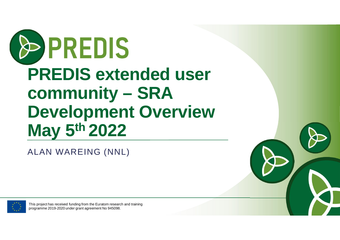# OPREDIS **PREDIS extended user community – SRA Development Overview May 5th 2022**

ALAN WAREING (NNL)

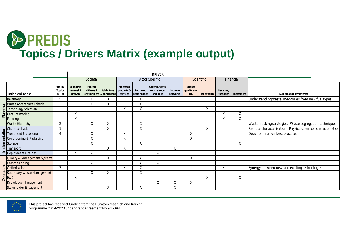

|               |                                         |                                 |                                 | <b>DRIVER</b>                                     |              |                                      |                         |                                             |                     |                                      |            |                      |            |                                                           |
|---------------|-----------------------------------------|---------------------------------|---------------------------------|---------------------------------------------------|--------------|--------------------------------------|-------------------------|---------------------------------------------|---------------------|--------------------------------------|------------|----------------------|------------|-----------------------------------------------------------|
|               |                                         |                                 |                                 | Societal                                          |              | <b>Actor Specific</b><br>Scientific  |                         |                                             | Financial           |                                      |            |                      |            |                                                           |
|               | <b>Technical Topic</b>                  | Priority<br>Topics<br>$(1 - 5)$ | Economic<br>renewal &<br>growth | Protect<br>citizens &<br>environment & confidence | Public trust | Processes.<br>products &<br>services | Improved<br>performance | Contributes to<br>competences<br>and skills | Improve<br>networks | Science<br>quality and<br><b>TRL</b> | Innovation | Revenue,<br>turnover | Investment | Sub-areas of key interest                                 |
|               | Inventory                               | 5                               |                                 |                                                   | X            |                                      | X                       |                                             |                     |                                      |            |                      |            | Understanding waste inventories from new fuel types.      |
|               | Waste Acceptance Criteria               |                                 |                                 | $\checkmark$                                      | $\mathbf{v}$ |                                      | X                       |                                             |                     |                                      |            |                      |            |                                                           |
|               | <b>Technology Selection</b>             |                                 |                                 |                                                   |              | Χ                                    | X                       |                                             |                     |                                      | X          |                      |            |                                                           |
|               | 호 Cost Estimating                       |                                 | Χ                               |                                                   |              |                                      |                         |                                             |                     |                                      |            | $\checkmark$<br>∧    | Χ          |                                                           |
|               | Funding                                 |                                 | Χ                               |                                                   |              |                                      |                         |                                             |                     |                                      |            |                      | Χ          |                                                           |
|               | <b>Waste Hierarchy</b>                  | $\overline{2}$                  |                                 |                                                   | X            |                                      | X                       |                                             |                     |                                      |            |                      |            | Waste tracking strategies. Waste segregation techniques.  |
|               | $\frac{20}{2}$ Characterisation         |                                 |                                 |                                                   | X            |                                      | X                       |                                             |                     |                                      | X          |                      |            | Remote characterisation. Physico-chemical characteristics |
|               | <b>Treatment Processing</b>             | 4                               |                                 | X                                                 |              | Χ                                    |                         |                                             |                     | X                                    |            |                      |            | Decontamination best practice.                            |
|               | Conditioning & Packaging                |                                 |                                 | $\vee$<br>Λ                                       |              | Χ                                    |                         |                                             |                     | Χ                                    |            |                      |            |                                                           |
|               | $\frac{a}{2}$ storage                   |                                 |                                 | χ                                                 |              |                                      | X                       |                                             |                     |                                      |            |                      | X          |                                                           |
| $\frac{1}{2}$ | Transport                               |                                 |                                 |                                                   | Χ            | Χ                                    |                         |                                             | Χ                   |                                      |            |                      |            |                                                           |
|               | Deployment Options                      |                                 | $\sf X$                         | $\vee$                                            |              |                                      |                         | $\sf X$                                     |                     |                                      |            |                      |            |                                                           |
|               | <b>Quality &amp; Management Systems</b> |                                 |                                 |                                                   | Χ            |                                      | Χ                       |                                             |                     | Χ                                    |            |                      |            |                                                           |
|               | Commissioning                           |                                 |                                 | X                                                 |              |                                      | X                       | $\sf X$                                     |                     |                                      |            |                      |            |                                                           |
|               | $rac{1}{6}$ Optimisation                | $\mathbf{3}$                    |                                 |                                                   |              | X                                    | X                       |                                             |                     |                                      |            | Χ                    |            | Synergy between new and existing technologies             |
|               | E Secondary Waste Management            |                                 |                                 | X                                                 | $\vee$<br>⋏  |                                      | Χ                       |                                             |                     |                                      |            |                      |            |                                                           |
|               |                                         |                                 | Χ                               |                                                   |              |                                      |                         |                                             |                     |                                      | X          |                      | Χ          |                                                           |
|               | Knowledge Management                    |                                 |                                 |                                                   |              |                                      |                         | Χ                                           | $\checkmark$<br>v   | X                                    |            |                      |            |                                                           |
|               | Stakeholder Engagement                  |                                 |                                 |                                                   | Χ            |                                      | X                       |                                             | Χ                   |                                      |            |                      |            |                                                           |



This project has received funding from the Euratom research and training

programme 2019-2020 under grant agreement No 945098.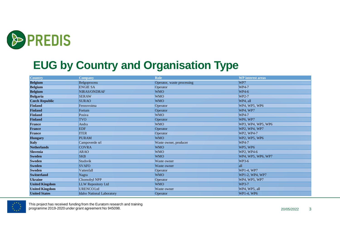

#### **EUG by Country and Organisation Type**

| <b>Country</b>        | <b>Company</b>            | <b>Role</b>                | <b>WP</b> interest areas |
|-----------------------|---------------------------|----------------------------|--------------------------|
| <b>Belgium</b>        | Belgoprocess              | Operator, waste processing | WP7                      |
| <b>Belgium</b>        | <b>ENGIE SA</b>           | Operator                   | WP4-7                    |
| <b>Belgium</b>        | NIRAS/ONDRAF              | <b>WMO</b>                 | <b>WP4-6</b>             |
| <b>Bulgaria</b>       | <b>SERAW</b>              | <b>WMO</b>                 | WP2-7                    |
| <b>Czech Republic</b> | <b>SURAO</b>              | <b>WMO</b>                 | WP4, all                 |
| <b>Finland</b>        | Fennovoima                | Operator                   | WP4, WP5, WP6            |
| <b>Finland</b>        | Fortum                    | Operator                   | WP4, WP7                 |
| <b>Finland</b>        | Posiva                    | <b>WMO</b>                 | WP4-7                    |
| <b>Finland</b>        | <b>TVO</b>                | Operator                   | WP6, WP7                 |
| <b>France</b>         | Andra                     | <b>WMO</b>                 | WP3, WP4, WP5, WP6       |
| <b>France</b>         | <b>EDF</b>                | Operator                   | WP2, WP4, WP7            |
| <b>France</b>         | <b>ITER</b>               | Operator                   | WP2, WP4-7               |
| <b>Hungary</b>        | <b>PURAM</b>              | <b>WMO</b>                 | WP2, WP5, WP6            |
| <b>Italy</b>          | Campoverde srl            | Waste owner, producer      | WP4-7                    |
| <b>Netherlands</b>    | <b>COVRA</b>              | <b>WMO</b>                 | WP5, WP6                 |
| <b>Slovenia</b>       | <b>ARAO</b>               | <b>WMO</b>                 | WP2, WP4-6               |
| <b>Sweden</b>         | <b>SKB</b>                | <b>WMO</b>                 | WP4, WP5, WP6, WP7       |
| <b>Sweden</b>         | Studsvik                  | Waste owner                | <b>WP3-6</b>             |
| <b>Sweden</b>         | <b>SVAFO</b>              | Waste owner                | all                      |
| <b>Sweden</b>         | Vattenfall                | Operator                   | WP1-4, WP7               |
| <b>Switzerland</b>    | Nagra                     | <b>WMO</b>                 | WP1-2, WP4, WP7          |
| <b>Ukraine</b>        | Chornobyl NPP             | Operator                   | WP4, WP5, WP7            |
| <b>United Kingdom</b> | LLW Repository Ltd        | <b>WMO</b>                 | <b>WP3-7</b>             |
| <b>United Kingdom</b> | <b>URENCOLtd</b>          | Waste owner                | WP4, WP5, all            |
| <b>United States</b>  | Idaho National Laboratory | Operator                   | WP1-4, WP6               |

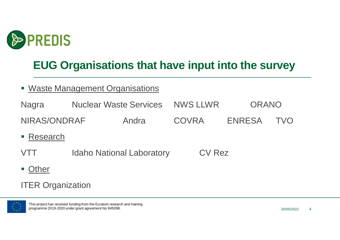

### **EUG Organisations that have input into the survey**

- **Waste Management Organisations**
- Nagra Muclear Waste Services NWS LLWR ORANO NIRAS/ONDRAF Andra COVRA ENRESA TVO ■ Research VTT Idaho National Laboratory CV Rez
- Other

ITER Organization



This project has received funding from the Euratom research and training programme 2019-2020 under grant agreement No 945098.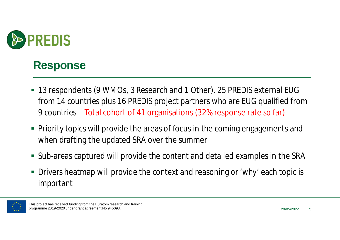

#### **Response**

- 13 respondents (9 WMOs, 3 Research and 1 Other). 25 PREDIS external EUG from 14 countries plus 16 PREDIS project partners who are EUG qualified from 9 countries – Total cohort of 41 organisations (32% response rate so far)
- Priority topics will provide the areas of focus in the coming engagements and when drafting the updated SRA over the summer
- Sub-areas captured will provide the content and detailed examples in the SRA
- Drivers heatmap will provide the context and reasoning or 'why' each topic is important

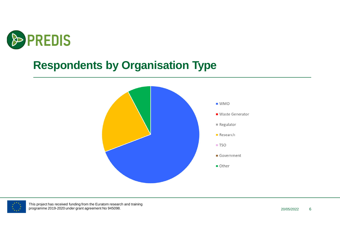

#### **Respondents by Organisation Type**



| $\bullet$ |
|-----------|
|           |
|           |
|           |
|           |

This project has received funding from the Euratom research and training programme 2019-2020 under grant agreement No 945098.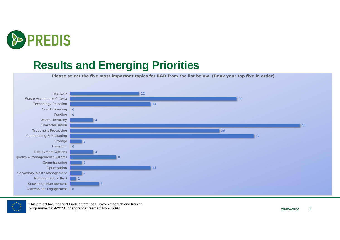

#### **Results and Emerging Priorities**

**Please select the five most important topics for R&D from the list below. (Rank your top five in order)**





This project has received funding from the Euratom research and training programme 2019-2020 under grant agreement No 945098.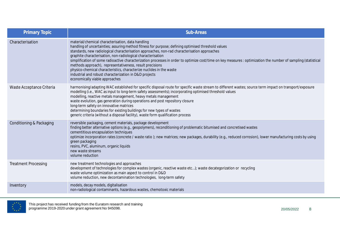| <b>Primary Topic</b>        | Sub-Areas                                                                                                                                                                                                                                                                                                                                                                                                                                                                                                                                                                                                                                                                                                                   |
|-----------------------------|-----------------------------------------------------------------------------------------------------------------------------------------------------------------------------------------------------------------------------------------------------------------------------------------------------------------------------------------------------------------------------------------------------------------------------------------------------------------------------------------------------------------------------------------------------------------------------------------------------------------------------------------------------------------------------------------------------------------------------|
| Characterisation            | material/chemical characterisation, data handling<br>handling of uncertainties; assuring method fitness for purpose; defining optimised threshold values<br>standards, new radiological characterisation approaches, non-rad characterisation approaches<br>graphite characterisation, non-radiological characterisation<br>simplification of some radioactive characterization processes in order to optimize cost/time on key measures : optimization the number of sampling (statistical<br>methods approach), representativeness, result precisions<br>physico-chemical characteristics, characterize nuclides in the waste<br>industrial and robust characterization in D&D projects<br>economically viable approaches |
| Waste Acceptance Criteria   | harmonising/adapting WAC established for specific disposal route for specific waste stream to different wastes; source term impact on transport/exposure<br>modelling (i.e., WAC as input to long-term safety assessments); incorporating optimised threshold values<br>modelling, reactive metals management, heavy metals management<br>waste evolution, gas generation during operations and post repository closure<br>long-term safety on innovative matrices<br>determining boundaries for existing buildings for new types of wastes<br>generic criteria (without a disposal facility), waste form qualification process                                                                                             |
| Conditioning & Packaging    | reversible packaging, cement materials, package development<br>finding better alternative options (e.g., geopolymers), reconditioning of problematic bitumised and concretised wastes<br>cementitious encapsulation techniques<br>optimize incorporation rates (concrete / waste ratio); new matrices; new packages, durability (e.g., reduced corrosion), lower manufacturing costs by using<br>green packaging<br>resins, PVC, aluminum, organic liquids<br>new waste streams<br>volume reduction                                                                                                                                                                                                                         |
| <b>Treatment Processing</b> | new treatment technologies and approaches<br>development of technologies for complex wastes (organic, reactive waste etc); waste decategorization or recycling<br>waste volume optimization as main aspect to control in D&D<br>volume reduction, new decontamination technologies, long-term safety                                                                                                                                                                                                                                                                                                                                                                                                                        |
| Inventory                   | models, decay models, digitalisation<br>non-radiological contaminants, hazardous wastes, chemotoxic materials                                                                                                                                                                                                                                                                                                                                                                                                                                                                                                                                                                                                               |



This project has received funding from the Euratom research and training programme 2019-2020 under grant agreement No 945098. 2012 12:00 12:00 12:00 12:00 12:00 12:00 12:00 12:00 12:0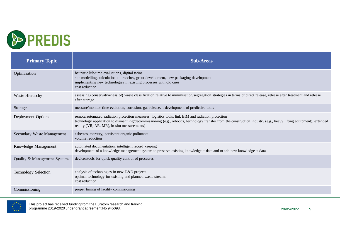

| <b>Primary Topic</b>         | <b>Sub-Areas</b>                                                                                                                                                                                                                                                                                                         |
|------------------------------|--------------------------------------------------------------------------------------------------------------------------------------------------------------------------------------------------------------------------------------------------------------------------------------------------------------------------|
| Optimisation                 | heuristic life-time evaluations, digital twins<br>site modelling, calculation approaches, grout development, new packaging development<br>implementing new technologies in existing processes with old ones<br>cost reduction                                                                                            |
| Waste Hierarchy              | assessing (conservativeness of) waste classification relative to minimisation/segregation strategies in terms of direct release, release after treatment and release<br>after storage                                                                                                                                    |
| Storage                      | measure/monitor time evolution, corrosion, gas release development of predictive tools                                                                                                                                                                                                                                   |
| Deployment Options           | remote/automated radiation protection measures, logistics tools, link BIM and radiation protection<br>technology application to dismantling/decommissioning (e.g., robotics, technology transfer from the construction industry (e.g., heavy lifting equipment), extended<br>reality (VR, AR, MR), in-situ measurements) |
| Secondary Waste Management   | asbestos, mercury, persistent organic pollutants<br>volume reduction                                                                                                                                                                                                                                                     |
| Knowledge Management         | automated documentation, intelligent record keeping<br>development of a knowledge management system to preserve existing knowledge + data and to add new knowledge + data                                                                                                                                                |
| Quality & Management Systems | devices/tools for quick quality control of processes                                                                                                                                                                                                                                                                     |
| Technology Selection         | analysis of technologies in new D&D projects<br>optimal technology for existing and planned waste streams<br>cost reduction                                                                                                                                                                                              |
| Commissioning                | proper timing of facility commissioning                                                                                                                                                                                                                                                                                  |

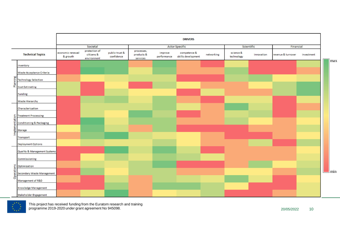|                                                |                              |                                            |                              |                                      |                        | <b>DRIVERS</b>                     |            |                         |            |                    |            |  |
|------------------------------------------------|------------------------------|--------------------------------------------|------------------------------|--------------------------------------|------------------------|------------------------------------|------------|-------------------------|------------|--------------------|------------|--|
|                                                |                              | Societal                                   |                              |                                      | <b>Actor Specific</b>  |                                    |            |                         | Scientific |                    | Financial  |  |
| <b>Technical Topics</b>                        | economic renewal<br>& growth | protection of<br>citizens &<br>environment | public trust &<br>confidence | processes,<br>products &<br>services | improve<br>performance | competence &<br>skills development | networking | science &<br>technology | innovation | revenue & turnover | investment |  |
| Inventory                                      |                              |                                            |                              |                                      |                        |                                    |            |                         |            |                    |            |  |
| Waste Acceptance Criteria                      |                              |                                            |                              |                                      |                        |                                    |            |                         |            |                    |            |  |
| Planning<br><b>Technology Selection</b>        |                              |                                            |                              |                                      |                        |                                    |            |                         |            |                    |            |  |
| <b>Cost Estimating</b>                         |                              |                                            |                              |                                      |                        |                                    |            |                         |            |                    |            |  |
| Funding                                        |                              |                                            |                              |                                      |                        |                                    |            |                         |            |                    |            |  |
| <b>Waste Hierarchy</b>                         |                              |                                            |                              |                                      |                        |                                    |            |                         |            |                    |            |  |
| Characterisation                               |                              |                                            |                              |                                      |                        |                                    |            |                         |            |                    |            |  |
| <b>Treatment Processing</b>                    |                              |                                            |                              |                                      |                        |                                    |            |                         |            |                    |            |  |
| mtation<br><b>Conditioning &amp; Packaging</b> |                              |                                            |                              |                                      |                        |                                    |            |                         |            |                    |            |  |
| mpler<br>Storage                               |                              |                                            |                              |                                      |                        |                                    |            |                         |            |                    |            |  |
| Transport                                      |                              |                                            |                              |                                      |                        |                                    |            |                         |            |                    |            |  |
| <b>Deployment Options</b>                      |                              |                                            |                              |                                      |                        |                                    |            |                         |            |                    |            |  |
| Quality & Management Systems                   |                              |                                            |                              |                                      |                        |                                    |            |                         |            |                    |            |  |
| Commissioning                                  |                              |                                            |                              |                                      |                        |                                    |            |                         |            |                    |            |  |
| Optimisation                                   |                              |                                            |                              |                                      |                        |                                    |            |                         |            |                    |            |  |
| erations<br><b>Secondary Waste Management</b>  |                              |                                            |                              |                                      |                        |                                    |            |                         |            |                    |            |  |
| $\overline{8}$<br>Management of R&D            |                              |                                            |                              |                                      |                        |                                    |            |                         |            |                    |            |  |
| Knowledge Management                           |                              |                                            |                              |                                      |                        |                                    |            |                         |            |                    |            |  |
| Stakeholder Engagement                         |                              |                                            |                              |                                      |                        |                                    |            |                         |            |                    |            |  |

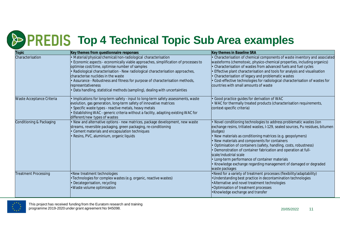## **The PREDIS Top 4 Technical Topic Sub Area examples**

| Topic                       | Key themes from questionnaire responses                                                                                                                                                                                                                                                                                                                                                                                                                                                                          | Key themes in Baseline SRA                                                                                                                                                                                                                                                                                                                                                                                                                                                                                                                                                              |
|-----------------------------|------------------------------------------------------------------------------------------------------------------------------------------------------------------------------------------------------------------------------------------------------------------------------------------------------------------------------------------------------------------------------------------------------------------------------------------------------------------------------------------------------------------|-----------------------------------------------------------------------------------------------------------------------------------------------------------------------------------------------------------------------------------------------------------------------------------------------------------------------------------------------------------------------------------------------------------------------------------------------------------------------------------------------------------------------------------------------------------------------------------------|
| Characterisation            | Material/physical/chemical/non-radiological characterisation<br>Economic aspects - economically viable approaches, simplification of processes to<br>optimise cost/time, optimise number of samples<br>Radiological characterisation - New radiological characterisation approaches,<br>characterise nuclides in the waste<br>• Assurance - Robustness and fitness for purpose of characterisation methods,<br>representativeness<br>· Data handling, statistical methods (sampling), dealing with uncertainties | · Characterisation of chemical components of waste inventory and associated<br>wasteforms (chemotoxic, physico-chemical properties, including organics)<br>Characterisation of wastes from advanced fuels and fuel cycles<br>Effective plant characterisation and tools for analysis and visualisation<br>Characterisation of legacy and problematic wastes<br>Cost-effective technologies for radiological characterisation of wastes for<br>countries with small amounts of waste                                                                                                     |
| Waste Acceptance Criteria   | Implications for long-term safety - input to long-term safety assessments, waste<br>evolution, gas generation, long-term safety of innovative matrices<br>Specific waste types - reactive metals, heavy metals<br>Establishing WAC - generic criteria without a facility, adapting existing WAC for<br>different/new types of wastes                                                                                                                                                                             | Good practice guides for derivation of WAC<br>· WAC for thermally treated products (characterisation requirements,<br>context-specific criteria)                                                                                                                                                                                                                                                                                                                                                                                                                                        |
| Conditioning & Packaging    | · New and alternative options - new matrices, package development, new waste<br>streams, reversible packaging, green packaging, re-conditioning<br>• Cement materials and encapsulation techniques<br>Resins, PVC, aluminium, organic liquids                                                                                                                                                                                                                                                                    | • Novel conditioning technologies to address problematic wastes (ion<br>exchange resins, tritiated wastes, I-129, sealed sources, Pu residues, bitumen<br>sludges)<br>· New materials as conditioning matrices (e.g. geopolymers)<br>New materials and components for containers<br>Optimisation of containers (safety, handling, costs, robustness)<br>Demonstration of container fabrication and operation at full-<br>scale/industrial scale<br>• Long-term performance of container materials<br>• Knowledge exchange regarding management of damaged or degraded<br>waste packages |
| <b>Treatment Processing</b> | •New treatment technologies<br>• Technologies for complex wastes (e.g. organic, reactive wastes)<br><b>Decategorisation</b> , recycling<br>• Waste volume optimisation                                                                                                                                                                                                                                                                                                                                           | •Need for a variety of treatment processes (flexibility/adaptability)<br>. Understanding best practice in decontamination technologies<br>• Alternative and novel treatment technologies<br>. Optimisation of treatment processes<br>•Knowledge exchange and transfer                                                                                                                                                                                                                                                                                                                   |

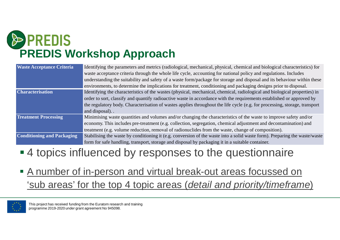

| <b>Waste Acceptance Criteria</b>  | Identifying the parameters and metrics (radiological, mechanical, physical, chemical and biological characteristics) for   |
|-----------------------------------|----------------------------------------------------------------------------------------------------------------------------|
|                                   | waste acceptance criteria through the whole life cycle, accounting for national policy and regulations. Includes           |
|                                   | understanding the suitability and safety of a waste form/package for storage and disposal and its behaviour within these   |
|                                   | environments, to determine the implications for treatment, conditioning and packaging designs prior to disposal.           |
| <b>Characterisation</b>           | Identifying the characteristics of the wastes (physical, mechanical, chemical, radiological and biological properties) in  |
|                                   | order to sort, classify and quantify radioactive waste in accordance with the requirements established or approved by      |
|                                   | the regulatory body. Characterisation of wastes applies throughout the life cycle (e.g. for processing, storage, transport |
|                                   | and disposal).                                                                                                             |
| <b>Treatment Processing</b>       | Minimising waste quantities and volumes and/or changing the characteristics of the waste to improve safety and/or          |
|                                   | economy. This includes pre-treatment (e.g. collection, segregation, chemical adjustment and decontamination) and           |
|                                   | treatment (e.g. volume reduction, removal of radionuclides from the waste, change of composition).                         |
| <b>Conditioning and Packaging</b> | Stabilising the waste by conditioning it (e.g. conversion of the waste into a solid waste form). Preparing the waste/waste |
|                                   | form for safe handling, transport, storage and disposal by packaging it in a suitable container.                           |

#### ■4 topics influenced by responses to the questionnaire

 A number of in-person and virtual break-out areas focussed on 'sub areas' for the top 4 topic areas (*detail and priority/timeframe*)

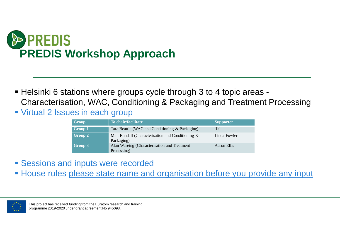

- Helsinki 6 stations where groups cycle through 3 to 4 topic areas Characterisation, WAC, Conditioning & Packaging and Treatment Processing
- **Virtual 2 Issues in each group**

| Group   | To chair/facilitate                                             | <b>Supporter</b> |
|---------|-----------------------------------------------------------------|------------------|
| Group 1 | Tara Beattie (WAC and Conditioning & Packaging)                 | tbc              |
| Group 2 | Matt Randall (Characterisation and Conditioning &<br>Packaging) | Linda Fowler     |
| Group 3 | Alan Wareing (Characterisation and Treatment<br>Processing)     | Aaron Ellis      |

- **Sessions and inputs were recorded**
- **House rules please state name and organisation before you provide any input**

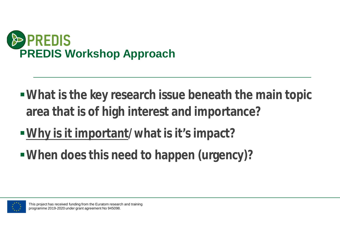

- **What is the key research issue beneath the main topic area that is of high interest and importance?**
- **Why is it important/what is it's impact?**
- **When does this need to happen (urgency)?**

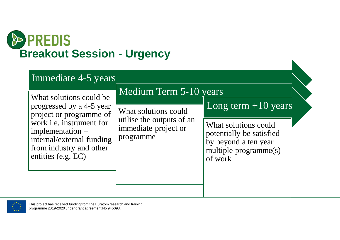

| Immediate 4-5 years                                                                                                                                                                                                 |                                                                                                                  |                                                                                                                                       |
|---------------------------------------------------------------------------------------------------------------------------------------------------------------------------------------------------------------------|------------------------------------------------------------------------------------------------------------------|---------------------------------------------------------------------------------------------------------------------------------------|
| What solutions could be<br>progressed by a 4-5 year<br>project or programme of<br>work <i>i.e.</i> instrument for<br>implementation –<br>internal/external funding<br>from industry and other<br>entities (e.g. EC) | Medium Term 5-10 years<br>What solutions could<br>utilise the outputs of an<br>immediate project or<br>programme | Long term $+10$ years<br>What solutions could<br>potentially be satisfied<br>by beyond a ten year<br>multiple programme(s)<br>of work |

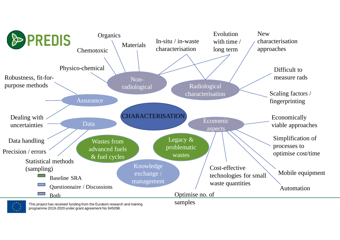

programme 2019-2020 under grant agreement No 945098.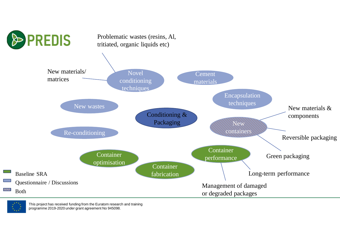

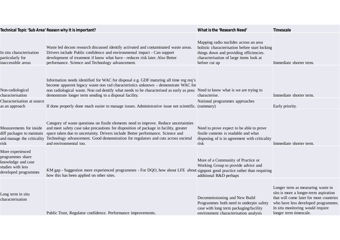|                                                                                                         | Technical Topic 'Sub Area' Reason why it is important?                                                                                                                                                                                                                                                                                                                                                                                 | What is the 'Research Need'                                                                                                                                                                    | Timescale                                                                                                                                                                                                                  |
|---------------------------------------------------------------------------------------------------------|----------------------------------------------------------------------------------------------------------------------------------------------------------------------------------------------------------------------------------------------------------------------------------------------------------------------------------------------------------------------------------------------------------------------------------------|------------------------------------------------------------------------------------------------------------------------------------------------------------------------------------------------|----------------------------------------------------------------------------------------------------------------------------------------------------------------------------------------------------------------------------|
| In situ characterisation<br>particularly for<br>inaccessible areas                                      | Waste led decom research discussed identify activated and contaminated waste areas.<br>Drivers include Public confidence and environmental impact - Can support<br>development of treatment if know what have - reduces risk later. Also Better<br>performance. Science and Technology advancement.                                                                                                                                    | Mapping radio nuclides across an area<br>holistic characterisation before start locking<br>things down and providing efficiencies.<br>characterisation of large items look at<br>before cut up | Immediate shorter term.                                                                                                                                                                                                    |
| Non-radiological<br>characterisation                                                                    | Information needs identified for WAC for disposal e.g. GDF maturing all time reg req's<br>become apparent legacy waste non rad characteristics unknown - demonstrate WAC for<br>non radiological waste. Non rad dentify what needs to be characterised as early as poss<br>demonstrate longer term sending to a disposal facility.                                                                                                     | Need to know what is we are trying to<br>characterise.                                                                                                                                         | Immediate shorter term.                                                                                                                                                                                                    |
| Characterisation at source<br>as an approach                                                            | If done properly done much easier to manage issues. Administrative issue not scientific. (summary)                                                                                                                                                                                                                                                                                                                                     | National programmes approaches                                                                                                                                                                 | Early priority.                                                                                                                                                                                                            |
| Measurements for inside<br>risk                                                                         | Category of waste questions on fissile elements need to improve. Reduce uncertainties<br>and meet safety case take precautions for disposition of package in facility, greater<br>diff packages to maintain space taken due to uncertainty. Drivers include Better performance. Science and<br>and manage the criticality Technology advancement. Good demonstration for regulators and cuts across societal<br>and environmental too. | Need to prove expect to be able to prove<br>fissile contents is readable and what<br>disposing of is in agreement with criticality<br>risk                                                     | Immediate shorter term.                                                                                                                                                                                                    |
| More experienced<br>programmes share<br>knowledge and case<br>studies with less<br>developed programmes | KM gap - Suggestion more experienced programmes - For DQO, how about LFE about signpost good practice rather than requiring<br>how this has been applied on other sites.                                                                                                                                                                                                                                                               | More of a Community of Practice or<br>Working Group to provide advice and<br>additional R&D perhaps                                                                                            |                                                                                                                                                                                                                            |
| Long term in situ<br>characterisation                                                                   | Public Trust, Regulator confidence. Performance improvements.                                                                                                                                                                                                                                                                                                                                                                          | Decommissioning and New Build<br>Programmes both need to underpin safety<br>case with long term packaging/facility<br>environment characterisation analysis                                    | Longer term as measuring waste in<br>situ is more a longer-term aspiration<br>that will come later for most countries<br>who have less developed programmes.<br>In situ monitoring would require<br>longer term timescale. |